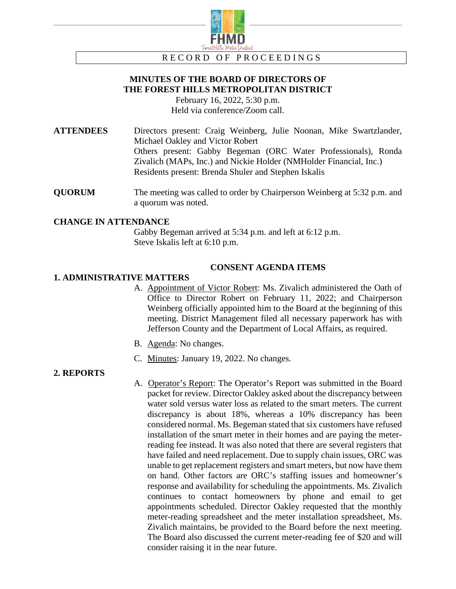

RECORD OF PROCEEDINGS

# **MINUTES OF THE BOARD OF DIRECTORS OF THE FOREST HILLS METROPOLITAN DISTRICT**

February 16, 2022, 5:30 p.m. Held via conference/Zoom call.

**ATTENDEES** Directors present: Craig Weinberg, Julie Noonan, Mike Swartzlander, Michael Oakley and Victor Robert Others present: Gabby Begeman (ORC Water Professionals), Ronda Zivalich (MAPs, Inc.) and Nickie Holder (NMHolder Financial, Inc.) Residents present: Brenda Shuler and Stephen Iskalis

**QUORUM** The meeting was called to order by Chairperson Weinberg at 5:32 p.m. and a quorum was noted.

#### **CHANGE IN ATTENDANCE**

Gabby Begeman arrived at 5:34 p.m. and left at 6:12 p.m. Steve Iskalis left at 6:10 p.m.

#### **CONSENT AGENDA ITEMS**

#### **1. ADMINISTRATIVE MATTERS**

- A. Appointment of Victor Robert: Ms. Zivalich administered the Oath of Office to Director Robert on February 11, 2022; and Chairperson Weinberg officially appointed him to the Board at the beginning of this meeting. District Management filed all necessary paperwork has with Jefferson County and the Department of Local Affairs, as required.
- B. Agenda: No changes.
- C. Minutes: January 19, 2022. No changes.

#### **2. REPORTS**

A. Operator's Report: The Operator's Report was submitted in the Board packet for review. Director Oakley asked about the discrepancy between water sold versus water loss as related to the smart meters. The current discrepancy is about 18%, whereas a 10% discrepancy has been considered normal. Ms. Begeman stated that six customers have refused installation of the smart meter in their homes and are paying the meterreading fee instead. It was also noted that there are several registers that have failed and need replacement. Due to supply chain issues, ORC was unable to get replacement registers and smart meters, but now have them on hand. Other factors are ORC's staffing issues and homeowner's response and availability for scheduling the appointments. Ms. Zivalich continues to contact homeowners by phone and email to get appointments scheduled. Director Oakley requested that the monthly meter-reading spreadsheet and the meter installation spreadsheet, Ms. Zivalich maintains, be provided to the Board before the next meeting. The Board also discussed the current meter-reading fee of \$20 and will consider raising it in the near future.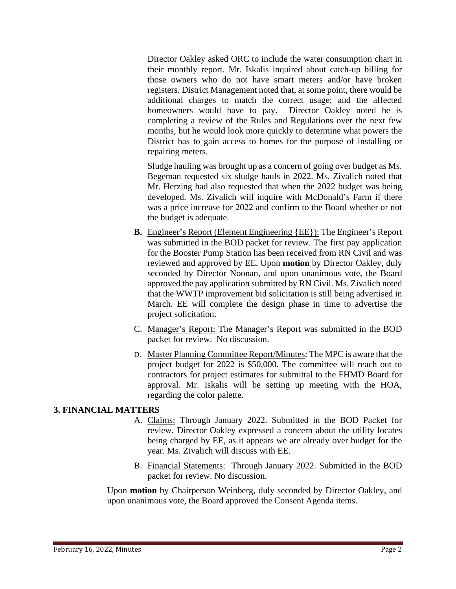Director Oakley asked ORC to include the water consumption chart in their monthly report. Mr. Iskalis inquired about catch-up billing for those owners who do not have smart meters and/or have broken registers. District Management noted that, at some point, there would be additional charges to match the correct usage; and the affected homeowners would have to pay. Director Oakley noted he is completing a review of the Rules and Regulations over the next few months, but he would look more quickly to determine what powers the District has to gain access to homes for the purpose of installing or repairing meters.

Sludge hauling was brought up as a concern of going over budget as Ms. Begeman requested six sludge hauls in 2022. Ms. Zivalich noted that Mr. Herzing had also requested that when the 2022 budget was being developed. Ms. Zivalich will inquire with McDonald's Farm if there was a price increase for 2022 and confirm to the Board whether or not the budget is adequate.

- **B.** Engineer's Report (Element Engineering {EE}): The Engineer's Report was submitted in the BOD packet for review. The first pay application for the Booster Pump Station has been received from RN Civil and was reviewed and approved by EE. Upon **motion** by Director Oakley, duly seconded by Director Noonan, and upon unanimous vote, the Board approved the pay application submitted by RN Civil. Ms. Zivalich noted that the WWTP improvement bid solicitation is still being advertised in March. EE will complete the design phase in time to advertise the project solicitation.
- C. Manager's Report: The Manager's Report was submitted in the BOD packet for review. No discussion.
- D. Master Planning Committee Report/Minutes: The MPC is aware that the project budget for 2022 is \$50,000. The committee will reach out to contractors for project estimates for submittal to the FHMD Board for approval. Mr. Iskalis will be setting up meeting with the HOA, regarding the color palette.

### **3. FINANCIAL MATTERS**

- A. Claims: Through January 2022. Submitted in the BOD Packet for review. Director Oakley expressed a concern about the utility locates being charged by EE, as it appears we are already over budget for the year. Ms. Zivalich will discuss with EE.
- B. Financial Statements: Through January 2022. Submitted in the BOD packet for review. No discussion.

Upon **motion** by Chairperson Weinberg, duly seconded by Director Oakley, and upon unanimous vote, the Board approved the Consent Agenda items.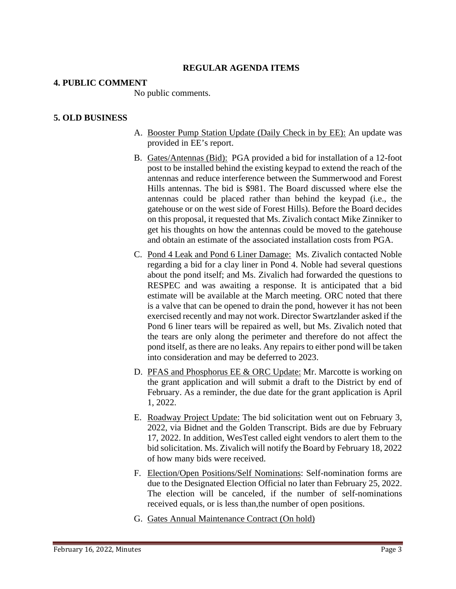## **REGULAR AGENDA ITEMS**

### **4. PUBLIC COMMENT**

No public comments.

## **5. OLD BUSINESS**

- A. Booster Pump Station Update (Daily Check in by EE): An update was provided in EE's report.
- B. Gates/Antennas (Bid): PGA provided a bid for installation of a 12-foot post to be installed behind the existing keypad to extend the reach of the antennas and reduce interference between the Summerwood and Forest Hills antennas. The bid is \$981. The Board discussed where else the antennas could be placed rather than behind the keypad (i.e., the gatehouse or on the west side of Forest Hills). Before the Board decides on this proposal, it requested that Ms. Zivalich contact Mike Zinniker to get his thoughts on how the antennas could be moved to the gatehouse and obtain an estimate of the associated installation costs from PGA.
- C. Pond 4 Leak and Pond 6 Liner Damage: Ms. Zivalich contacted Noble regarding a bid for a clay liner in Pond 4. Noble had several questions about the pond itself; and Ms. Zivalich had forwarded the questions to RESPEC and was awaiting a response. It is anticipated that a bid estimate will be available at the March meeting. ORC noted that there is a valve that can be opened to drain the pond, however it has not been exercised recently and may not work. Director Swartzlander asked if the Pond 6 liner tears will be repaired as well, but Ms. Zivalich noted that the tears are only along the perimeter and therefore do not affect the pond itself, as there are no leaks. Any repairs to either pond will be taken into consideration and may be deferred to 2023.
- D. PFAS and Phosphorus EE & ORC Update: Mr. Marcotte is working on the grant application and will submit a draft to the District by end of February. As a reminder, the due date for the grant application is April 1, 2022.
- E. Roadway Project Update: The bid solicitation went out on February 3, 2022, via Bidnet and the Golden Transcript. Bids are due by February 17, 2022. In addition, WesTest called eight vendors to alert them to the bid solicitation. Ms. Zivalich will notify the Board by February 18, 2022 of how many bids were received.
- F. Election/Open Positions/Self Nominations: Self-nomination forms are due to the Designated Election Official no later than February 25, 2022. The election will be canceled, if the number of self-nominations received equals, or is less than,the number of open positions.
- G. Gates Annual Maintenance Contract (On hold)